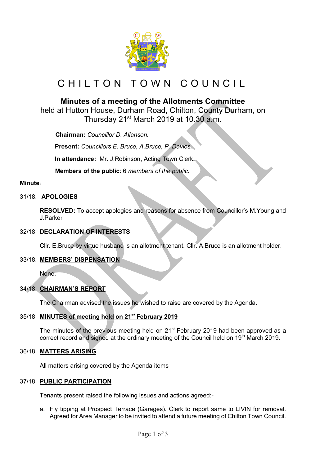

# CHILTON TOWN COUNCIL

# **Minutes of a meeting of the Allotments Committee**

held at Hutton House, Durham Road, Chilton, County Durham, on Thursday 21st March 2019 at 10.30 a.m.

 **Chairman:** *Councillor D. Allanson.*

**Present:** *Councillors E. Bruce, A.Bruce, P. Davies.*

**In attendance:** Mr. J.Robinson, Acting Town Clerk**.**

 **Members of the public**: 6 *members of the public.*

# **Minute:**

# 31/18. **APOLOGIES**

**RESOLVED:** To accept apologies and reasons for absence from Councillor's M.Young and J.Parker

#### 32/18 **DECLARATION OF INTERESTS**

Cllr. E.Bruce by virtue husband is an allotment tenant. Cllr. A.Bruce is an allotment holder.

# 33/18. **MEMBERS' DISPENSATION**

None.

# 34/18. **CHAIRMAN'S REPORT**

The Chairman advised the issues he wished to raise are covered by the Agenda.

# 35/18 **MINUTES of meeting held on 21st February 2019**

The minutes of the previous meeting held on 21<sup>st</sup> February 2019 had been approved as a correct record and signed at the ordinary meeting of the Council held on 19<sup>th</sup> March 2019.

# 36/18 **MATTERS ARISING**

All matters arising covered by the Agenda items

#### 37/18 **PUBLIC PARTICIPATION**

Tenants present raised the following issues and actions agreed:-

a. Fly tipping at Prospect Terrace (Garages). Clerk to report same to LIVIN for removal. Agreed for Area Manager to be invited to attend a future meeting of Chilton Town Council.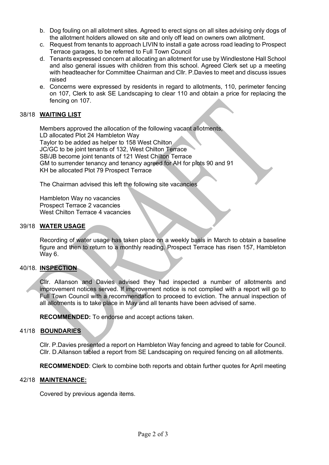- b. Dog fouling on all allotment sites. Agreed to erect signs on all sites advising only dogs of the allotment holders allowed on site and only off lead on owners own allotment.
- c. Request from tenants to approach LIVIN to install a gate across road leading to Prospect Terrace garages, to be referred to Full Town Council
- d. Tenants expressed concern at allocating an allotment for use by Windlestone Hall School and also general issues with children from this school. Agreed Clerk set up a meeting with headteacher for Committee Chairman and Cllr. P.Davies to meet and discuss issues raised
- e. Concerns were expressed by residents in regard to allotments, 110, perimeter fencing on 107, Clerk to ask SE Landscaping to clear 110 and obtain a price for replacing the fencing on 107.

# 38/18 **WAITING LIST**

Members approved the allocation of the following vacant allotments, LD allocated Plot 24 Hambleton Way Taylor to be added as helper to 158 West Chilton JC/GC to be joint tenants of 132, West Chilton Terrace SB/JB become joint tenants of 121 West Chilton Terrace GM to surrender tenancy and tenancy agreed for AH for plots 90 and 91 KH be allocated Plot 79 Prospect Terrace

The Chairman advised this left the following site vacancies

Hambleton Way no vacancies Prospect Terrace 2 vacancies West Chilton Terrace 4 vacancies

#### 39/18 **WATER USAGE**

Recording of water usage has taken place on a weekly basis in March to obtain a baseline figure and then to return to a monthly reading. Prospect Terrace has risen 157, Hambleton Way 6.

#### 40/18. **INSPECTION**

Cllr. Allanson and Davies advised they had inspected a number of allotments and improvement notices served. If improvement notice is not complied with a report will go to Full Town Council with a recommendation to proceed to eviction. The annual inspection of all allotments is to take place in May and all tenants have been advised of same.

**RECOMMENDED:** To endorse and accept actions taken.

#### 41/18 **BOUNDARIES**

Cllr. P.Davies presented a report on Hambleton Way fencing and agreed to table for Council. Cllr. D.Allanson tabled a report from SE Landscaping on required fencing on all allotments.

**RECOMMENDED**: Clerk to combine both reports and obtain further quotes for April meeting

## 42/18 **MAINTENANCE:**

Covered by previous agenda items.